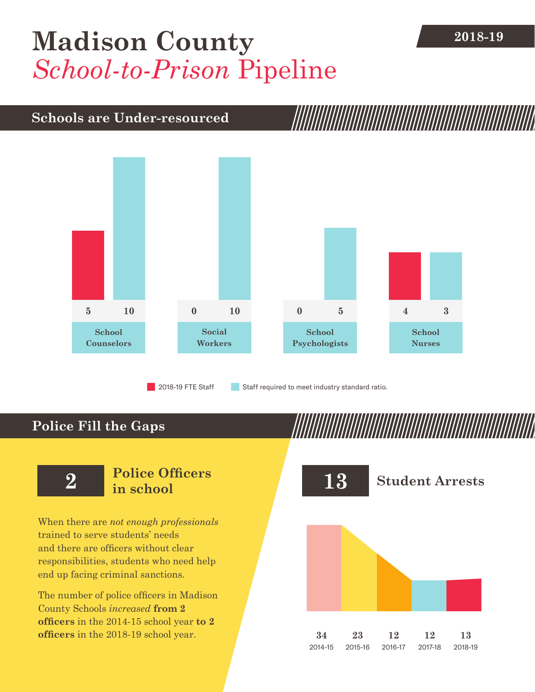# **[Madison County](DBF_County)** 2018-19 *School-to-Prison* Pipeline

### **Schools are Under-resourced**



2018-19 FTE Staff **Staff required to meet industry standard ratio.** 

## **Police Fill the Gaps**

When there are *not enough professionals* trained to serve students' needs and there are officers without clear responsibilities, students who need help end up facing criminal sanctions.

The number of police officers in [Madison](DBF_County)  [County](DBF_County) Schools *increased* **from [2](DBF_PO1415) officers** in the 2014-15 school year **to [2](DBF_PO) officers** in the 2018-19 school year.